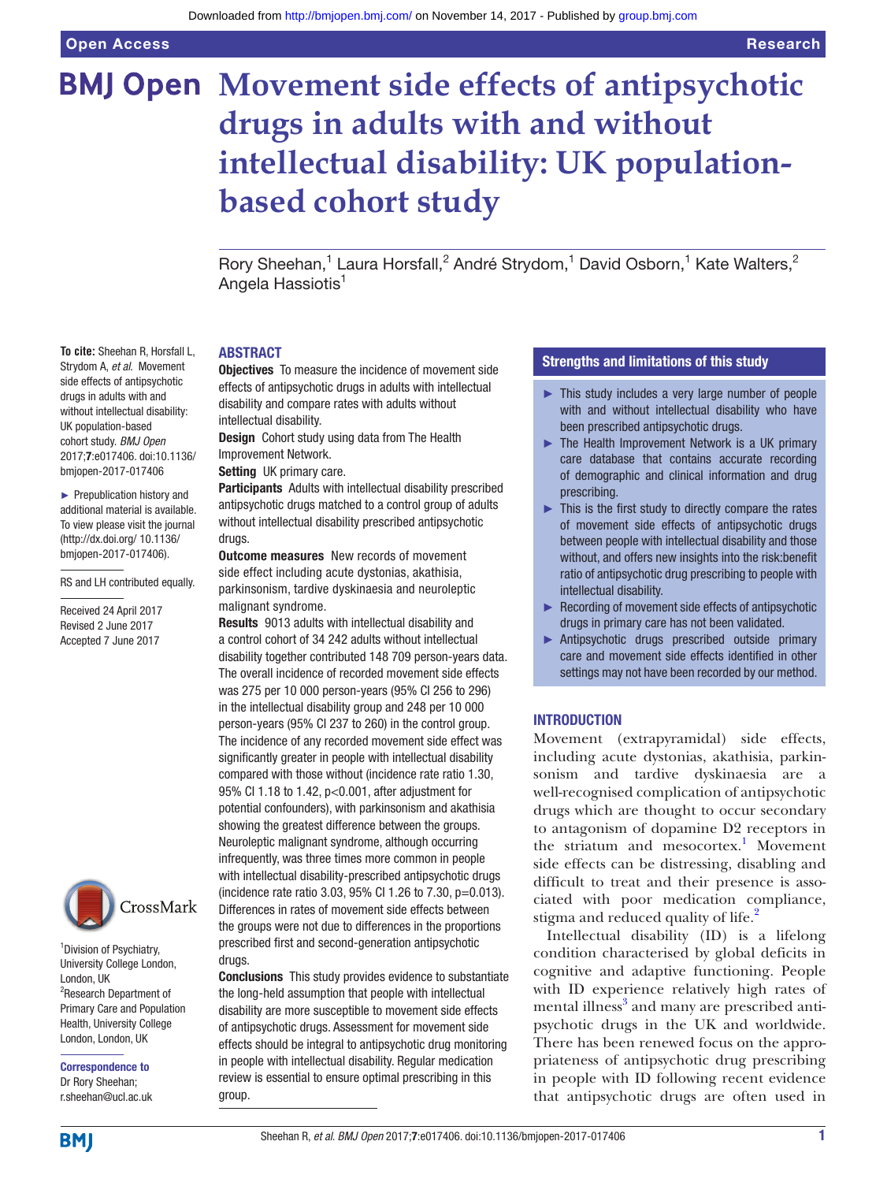# **BMJ Open Movement side effects of antipsychotic drugs in adults with and without intellectual disability: UK populationbased cohort study**

Rory Sheehan,<sup>1</sup> Laura Horsfall,<sup>2</sup> André Strydom,<sup>1</sup> David Osborn,<sup>1</sup> Kate Walters,<sup>2</sup> Angela Hassiotis<sup>1</sup>

#### **ABSTRACT**

**Objectives** To measure the incidence of movement side effects of antipsychotic drugs in adults with intellectual disability and compare rates with adults without intellectual disability.

Design Cohort study using data from The Health Improvement Network.

Setting UK primary care.

Participants Adults with intellectual disability prescribed antipsychotic drugs matched to a control group of adults without intellectual disability prescribed antipsychotic drugs.

**Outcome measures** New records of movement side effect including acute dystonias, akathisia, parkinsonism, tardive dyskinaesia and neuroleptic malignant syndrome.

Results 9013 adults with intellectual disability and a control cohort of 34 242 adults without intellectual disability together contributed 148 709 person-years data. The overall incidence of recorded movement side effects was 275 per 10 000 person-years (95% CI 256 to 296) in the intellectual disability group and 248 per 10 000 person-years (95% CI 237 to 260) in the control group. The incidence of any recorded movement side effect was significantly greater in people with intellectual disability compared with those without (incidence rate ratio 1.30, 95% CI 1.18 to 1.42, p<0.001, after adjustment for potential confounders), with parkinsonism and akathisia showing the greatest difference between the groups. Neuroleptic malignant syndrome, although occurring infrequently, was three times more common in people with intellectual disability-prescribed antipsychotic drugs (incidence rate ratio 3.03, 95% CI 1.26 to 7.30, p=0.013). Differences in rates of movement side effects between the groups were not due to differences in the proportions prescribed first and second-generation antipsychotic drugs.

Conclusions This study provides evidence to substantiate the long-held assumption that people with intellectual disability are more susceptible to movement side effects of antipsychotic drugs. Assessment for movement side effects should be integral to antipsychotic drug monitoring in people with intellectual disability. Regular medication review is essential to ensure optimal prescribing in this group.

# Strengths and limitations of this study

- ► This study includes a very large number of people with and without intellectual disability who have been prescribed antipsychotic drugs.
- ► The Health Improvement Network is a UK primary care database that contains accurate recording of demographic and clinical information and drug prescribing.
- ► This is the first study to directly compare the rates of movement side effects of antipsychotic drugs between people with intellectual disability and those without, and offers new insights into the risk:benefit ratio of antipsychotic drug prescribing to people with intellectual disability.
- ► Recording of movement side effects of antipsychotic drugs in primary care has not been validated.
- ► Antipsychotic drugs prescribed outside primary care and movement side effects identified in other settings may not have been recorded by our method.

# **INTRODUCTION**

Movement (extrapyramidal) side effects, including acute dystonias, akathisia, parkinsonism and tardive dyskinaesia are a well-recognised complication of antipsychotic drugs which are thought to occur secondary to antagonism of dopamine D2 receptors in the striatum and mesocortex.<sup>1</sup> Movement side effects can be distressing, disabling and difficult to treat and their presence is associated with poor medication compliance, stigma and reduced quality of life.<sup>[2](#page-8-1)</sup>

Intellectual disability (ID) is a lifelong condition characterised by global deficits in cognitive and adaptive functioning. People with ID experience relatively high rates of mental illness<sup>[3](#page-8-2)</sup> and many are prescribed antipsychotic drugs in the UK and worldwide. There has been renewed focus on the appropriateness of antipsychotic drug prescribing in people with ID following recent evidence that antipsychotic drugs are often used in

**To cite:** Sheehan R, Horsfall L, Strydom A, *et al*. Movement side effects of antipsychotic drugs in adults with and without intellectual disability: UK population-based cohort study. *BMJ Open* 2017;7:e017406. doi:10.1136/ bmjopen-2017-017406

► Prepublication history and additional material is available. To view please visit the journal [\(http://dx.doi.org/ 10.1136/](http://dx.doi.org/ 10.1136/bmjopen-2017-017406) [bmjopen-2017-017406](http://dx.doi.org/ 10.1136/bmjopen-2017-017406)).

RS and LH contributed equally.

Received 24 April 2017 Revised 2 June 2017 Accepted 7 June 2017



<sup>1</sup> Division of Psychiatry, University College London, London, UK <sup>2</sup>Research Department of Primary Care and Population Health, University College London, London, UK

Correspondence to Dr Rory Sheehan; r.sheehan@ucl.ac.uk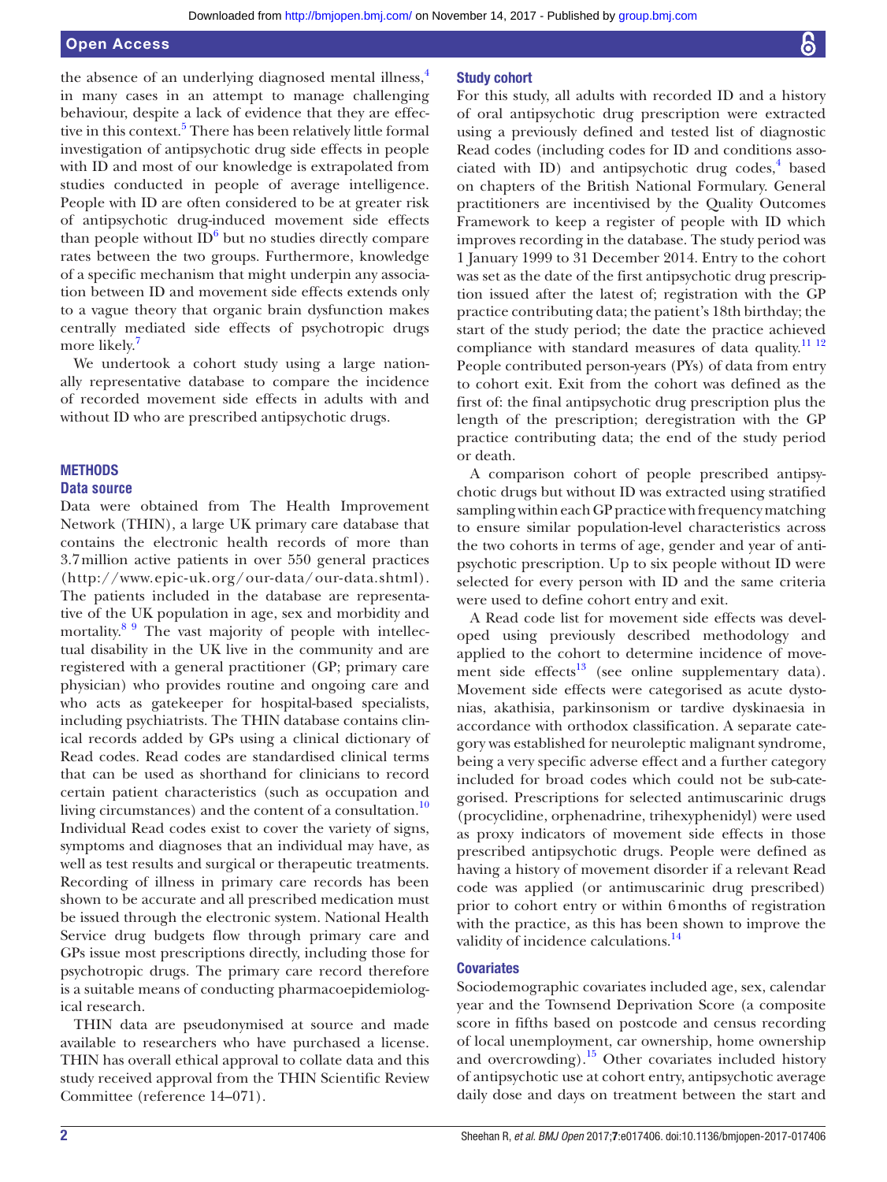the absence of an underlying diagnosed mental illness, $4\overline{4}$  $4\overline{4}$ in many cases in an attempt to manage challenging behaviour, despite a lack of evidence that they are effec-tive in this context.<sup>[5](#page-8-4)</sup> There has been relatively little formal investigation of antipsychotic drug side effects in people with ID and most of our knowledge is extrapolated from studies conducted in people of average intelligence. People with ID are often considered to be at greater risk of antipsychotic drug-induced movement side effects than people without  $ID^6$  but no studies directly compare rates between the two groups. Furthermore, knowledge of a specific mechanism that might underpin any association between ID and movement side effects extends only to a vague theory that organic brain dysfunction makes centrally mediated side effects of psychotropic drugs

We undertook a cohort study using a large nationally representative database to compare the incidence of recorded movement side effects in adults with and without ID who are prescribed antipsychotic drugs.

# **METHODS**

#### **Data source**

more likely.<sup>7</sup>

Data were obtained from The Health Improvement Network (THIN), a large UK primary care database that contains the electronic health records of more than 3.7million active patients in over 550 general practices (<http://www.epic-uk.org/our-data/our-data.shtml>). The patients included in the database are representative of the UK population in age, sex and morbidity and mortality.<sup>8 9</sup> The vast majority of people with intellectual disability in the UK live in the community and are registered with a general practitioner (GP; primary care physician) who provides routine and ongoing care and who acts as gatekeeper for hospital-based specialists, including psychiatrists. The THIN database contains clinical records added by GPs using a clinical dictionary of Read codes. Read codes are standardised clinical terms that can be used as shorthand for clinicians to record certain patient characteristics (such as occupation and living circumstances) and the content of a consultation[.10](#page-8-8) Individual Read codes exist to cover the variety of signs, symptoms and diagnoses that an individual may have, as well as test results and surgical or therapeutic treatments. Recording of illness in primary care records has been shown to be accurate and all prescribed medication must be issued through the electronic system. National Health Service drug budgets flow through primary care and GPs issue most prescriptions directly, including those for psychotropic drugs. The primary care record therefore is a suitable means of conducting pharmacoepidemiological research.

THIN data are pseudonymised at source and made available to researchers who have purchased a license. THIN has overall ethical approval to collate data and this study received approval from the THIN Scientific Review Committee (reference 14–071).

#### Study cohort

For this study, all adults with recorded ID and a history of oral antipsychotic drug prescription were extracted using a previously defined and tested list of diagnostic Read codes (including codes for ID and conditions associated with ID) and antipsychotic drug codes,<sup>4</sup> based on chapters of the British National Formulary. General practitioners are incentivised by the Quality Outcomes Framework to keep a register of people with ID which improves recording in the database. The study period was 1 January 1999 to 31 December 2014. Entry to the cohort was set as the date of the first antipsychotic drug prescription issued after the latest of; registration with the GP practice contributing data; the patient's 18th birthday; the start of the study period; the date the practice achieved compliance with standard measures of data quality.<sup>[11 12](#page-8-9)</sup> People contributed person-years (PYs) of data from entry to cohort exit. Exit from the cohort was defined as the first of: the final antipsychotic drug prescription plus the length of the prescription; deregistration with the GP practice contributing data; the end of the study period or death.

A comparison cohort of people prescribed antipsychotic drugs but without ID was extracted using stratified sampling within each GP practice with frequency matching to ensure similar population-level characteristics across the two cohorts in terms of age, gender and year of antipsychotic prescription. Up to six people without ID were selected for every person with ID and the same criteria were used to define cohort entry and exit.

A Read code list for movement side effects was developed using previously described methodology and applied to the cohort to determine incidence of movement side effects $13$  (see online [supplementary data\)](https://dx.doi.org/10.1136/bmjopen-2017-017406). Movement side effects were categorised as acute dystonias, akathisia, parkinsonism or tardive dyskinaesia in accordance with orthodox classification. A separate category was established for neuroleptic malignant syndrome, being a very specific adverse effect and a further category included for broad codes which could not be sub-categorised. Prescriptions for selected antimuscarinic drugs (procyclidine, orphenadrine, trihexyphenidyl) were used as proxy indicators of movement side effects in those prescribed antipsychotic drugs. People were defined as having a history of movement disorder if a relevant Read code was applied (or antimuscarinic drug prescribed) prior to cohort entry or within 6months of registration with the practice, as this has been shown to improve the validity of incidence calculations.<sup>[14](#page-8-11)</sup>

# **Covariates**

Sociodemographic covariates included age, sex, calendar year and the Townsend Deprivation Score (a composite score in fifths based on postcode and census recording of local unemployment, car ownership, home ownership and overcrowding).<sup>15</sup> Other covariates included history of antipsychotic use at cohort entry, antipsychotic average daily dose and days on treatment between the start and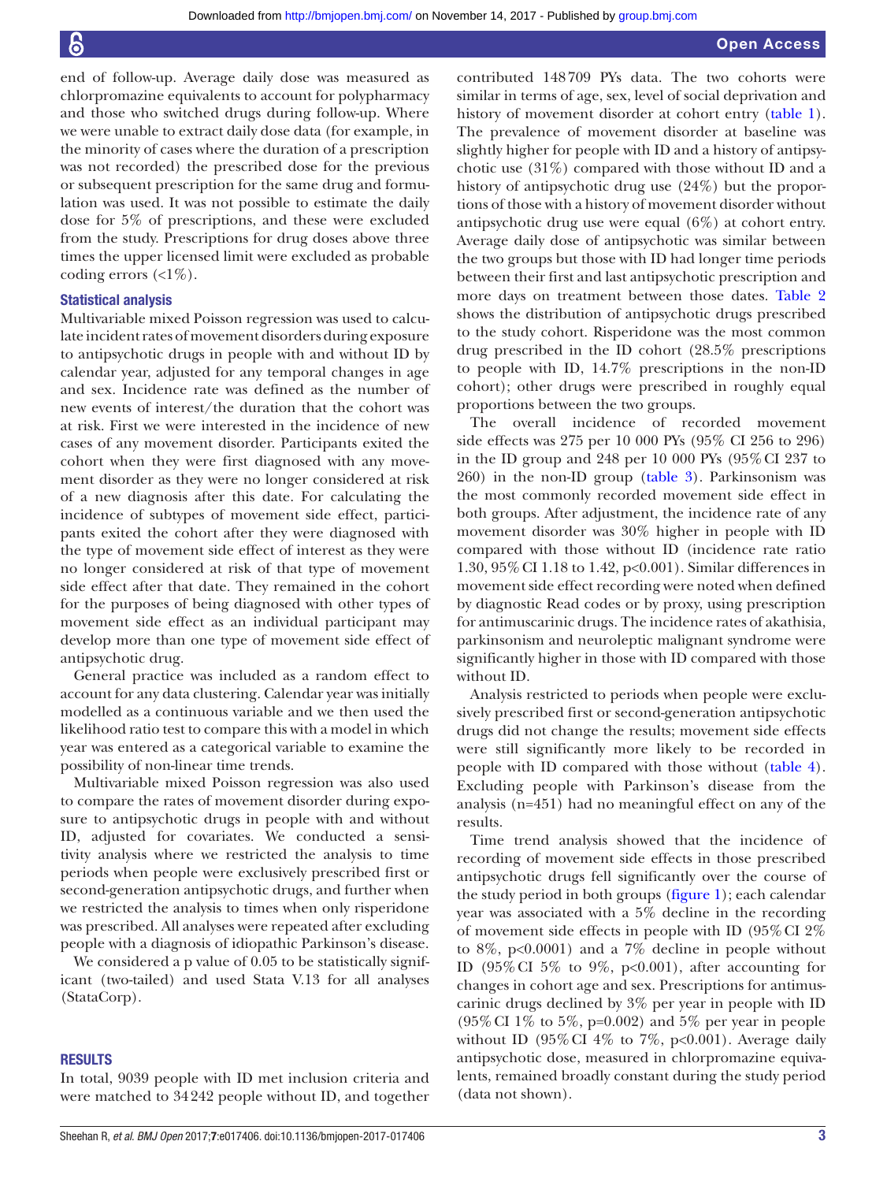end of follow-up. Average daily dose was measured as chlorpromazine equivalents to account for polypharmacy and those who switched drugs during follow-up. Where we were unable to extract daily dose data (for example, in the minority of cases where the duration of a prescription was not recorded) the prescribed dose for the previous or subsequent prescription for the same drug and formulation was used. It was not possible to estimate the daily dose for 5% of prescriptions, and these were excluded from the study. Prescriptions for drug doses above three times the upper licensed limit were excluded as probable coding errors  $\left(\langle 1\% \right)$ .

#### Statistical analysis

Multivariable mixed Poisson regression was used to calculate incident rates of movement disorders during exposure to antipsychotic drugs in people with and without ID by calendar year, adjusted for any temporal changes in age and sex. Incidence rate was defined as the number of new events of interest/the duration that the cohort was at risk. First we were interested in the incidence of new cases of any movement disorder. Participants exited the cohort when they were first diagnosed with any movement disorder as they were no longer considered at risk of a new diagnosis after this date. For calculating the incidence of subtypes of movement side effect, participants exited the cohort after they were diagnosed with the type of movement side effect of interest as they were no longer considered at risk of that type of movement side effect after that date. They remained in the cohort for the purposes of being diagnosed with other types of movement side effect as an individual participant may develop more than one type of movement side effect of antipsychotic drug.

General practice was included as a random effect to account for any data clustering. Calendar year was initially modelled as a continuous variable and we then used the likelihood ratio test to compare this with a model in which year was entered as a categorical variable to examine the possibility of non-linear time trends.

Multivariable mixed Poisson regression was also used to compare the rates of movement disorder during exposure to antipsychotic drugs in people with and without ID, adjusted for covariates. We conducted a sensitivity analysis where we restricted the analysis to time periods when people were exclusively prescribed first or second-generation antipsychotic drugs, and further when we restricted the analysis to times when only risperidone was prescribed. All analyses were repeated after excluding people with a diagnosis of idiopathic Parkinson's disease.

We considered a p value of 0.05 to be statistically significant (two-tailed) and used Stata V.13 for all analyses (StataCorp).

#### **RESULTS**

In total, 9039 people with ID met inclusion criteria and were matched to 34242 people without ID, and together

contributed 148709 PYs data. The two cohorts were similar in terms of age, sex, level of social deprivation and history of movement disorder at cohort entry ([table](#page-3-0) 1). The prevalence of movement disorder at baseline was slightly higher for people with ID and a history of antipsychotic use (31%) compared with those without ID and a history of antipsychotic drug use (24%) but the proportions of those with a history of movement disorder without antipsychotic drug use were equal (6%) at cohort entry. Average daily dose of antipsychotic was similar between the two groups but those with ID had longer time periods between their first and last antipsychotic prescription and more days on treatment between those dates. [Table](#page-4-0) 2 shows the distribution of antipsychotic drugs prescribed to the study cohort. Risperidone was the most common drug prescribed in the ID cohort (28.5% prescriptions to people with ID, 14.7% prescriptions in the non-ID cohort); other drugs were prescribed in roughly equal proportions between the two groups.

The overall incidence of recorded movement side effects was 275 per 10 000 PYs (95% CI 256 to 296) in the ID group and 248 per 10 000 PYs (95%CI 237 to 260) in the non-ID group [\(table](#page-5-0) 3). Parkinsonism was the most commonly recorded movement side effect in both groups. After adjustment, the incidence rate of any movement disorder was 30% higher in people with ID compared with those without ID (incidence rate ratio 1.30, 95%CI 1.18 to 1.42, p<0.001). Similar differences in movement side effect recording were noted when defined by diagnostic Read codes or by proxy, using prescription for antimuscarinic drugs. The incidence rates of akathisia, parkinsonism and neuroleptic malignant syndrome were significantly higher in those with ID compared with those without ID.

Analysis restricted to periods when people were exclusively prescribed first or second-generation antipsychotic drugs did not change the results; movement side effects were still significantly more likely to be recorded in people with ID compared with those without [\(table](#page-6-0) 4). Excluding people with Parkinson's disease from the analysis (n=451) had no meaningful effect on any of the results.

Time trend analysis showed that the incidence of recording of movement side effects in those prescribed antipsychotic drugs fell significantly over the course of the study period in both groups [\(figure](#page-7-0) 1); each calendar year was associated with a 5% decline in the recording of movement side effects in people with ID (95%CI 2% to 8%,  $p<0.0001$ ) and a 7% decline in people without ID (95% CI 5% to 9%, p<0.001), after accounting for changes in cohort age and sex. Prescriptions for antimuscarinic drugs declined by 3% per year in people with ID (95%CI 1% to 5%, p=0.002) and 5% per year in people without ID (95% CI 4% to 7%, p<0.001). Average daily antipsychotic dose, measured in chlorpromazine equivalents, remained broadly constant during the study period (data not shown).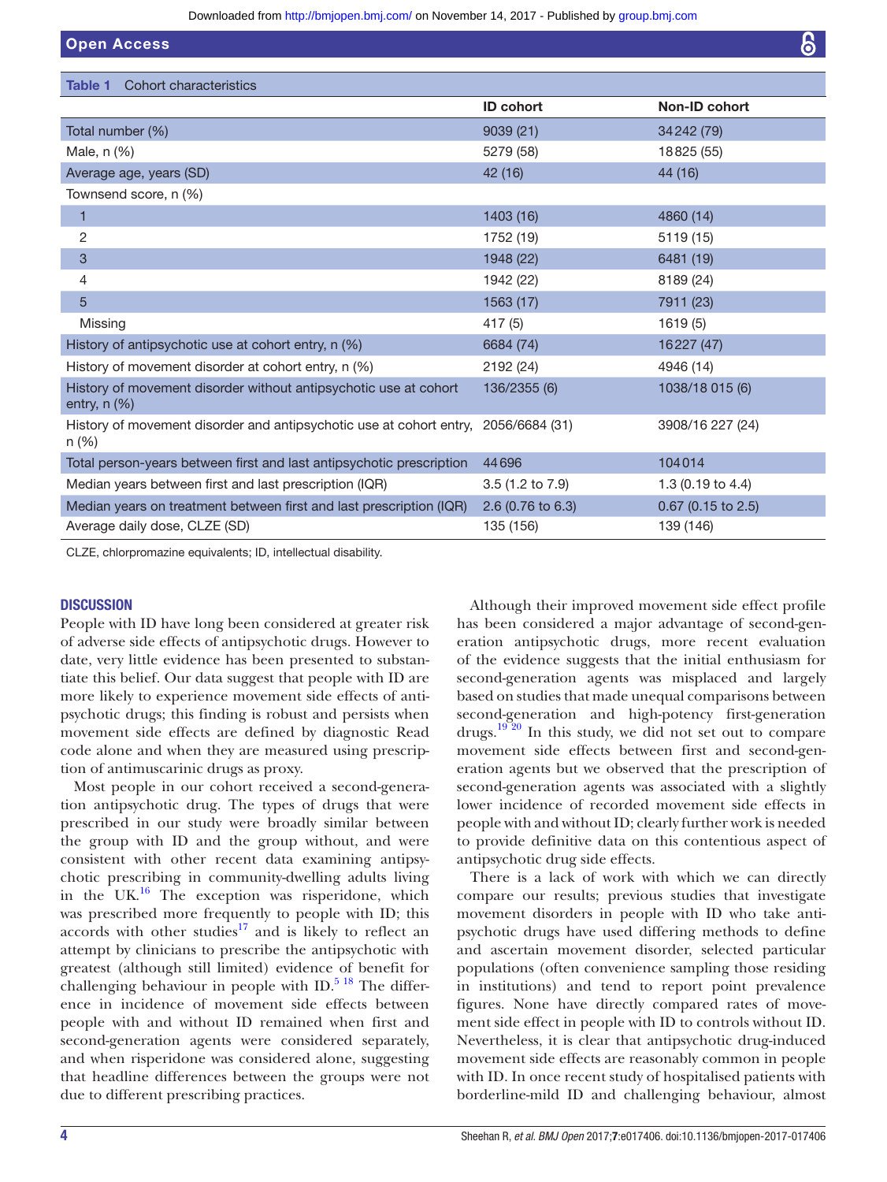<span id="page-3-0"></span>

| <b>Open Access</b>                                                                          |                   | 6                            |
|---------------------------------------------------------------------------------------------|-------------------|------------------------------|
|                                                                                             |                   |                              |
| Cohort characteristics<br><b>Table 1</b>                                                    |                   |                              |
|                                                                                             | <b>ID cohort</b>  | Non-ID cohort                |
| Total number (%)                                                                            | 9039 (21)         | 34 24 2(79)                  |
| Male, n (%)                                                                                 | 5279 (58)         | 18825 (55)                   |
| Average age, years (SD)                                                                     | 42 (16)           | 44 (16)                      |
| Townsend score, n (%)                                                                       |                   |                              |
| 1                                                                                           | 1403 (16)         | 4860 (14)                    |
| 2                                                                                           | 1752 (19)         | 5119 (15)                    |
| 3                                                                                           | 1948 (22)         | 6481 (19)                    |
| 4                                                                                           | 1942 (22)         | 8189 (24)                    |
| 5                                                                                           | 1563 (17)         | 7911 (23)                    |
| Missing                                                                                     | 417 (5)           | 1619(5)                      |
| History of antipsychotic use at cohort entry, n (%)                                         | 6684 (74)         | 16227 (47)                   |
| History of movement disorder at cohort entry, n (%)                                         | 2192 (24)         | 4946 (14)                    |
| History of movement disorder without antipsychotic use at cohort<br>entry, $n$ $(\%)$       | 136/2355 (6)      | 1038/18 015 (6)              |
| History of movement disorder and antipsychotic use at cohort entry, 2056/6684 (31)<br>n (%) |                   | 3908/16 227 (24)             |
| Total person-years between first and last antipsychotic prescription                        | 44696             | 104014                       |
| Median years between first and last prescription (IQR)                                      | 3.5 (1.2 to 7.9)  | 1.3 $(0.19 \text{ to } 4.4)$ |
| Median years on treatment between first and last prescription (IQR)                         | 2.6 (0.76 to 6.3) | $0.67$ (0.15 to 2.5)         |
| Average daily dose, CLZE (SD)                                                               | 135 (156)         | 139 (146)                    |

CLZE, chlorpromazine equivalents; ID, intellectual disability.

# **DISCUSSION**

People with ID have long been considered at greater risk of adverse side effects of antipsychotic drugs. However to date, very little evidence has been presented to substantiate this belief. Our data suggest that people with ID are more likely to experience movement side effects of antipsychotic drugs; this finding is robust and persists when movement side effects are defined by diagnostic Read code alone and when they are measured using prescription of antimuscarinic drugs as proxy.

Most people in our cohort received a second-generation antipsychotic drug. The types of drugs that were prescribed in our study were broadly similar between the group with ID and the group without, and were consistent with other recent data examining antipsychotic prescribing in community-dwelling adults living in the UK $^{16}$  The exception was risperidone, which was prescribed more frequently to people with ID; this accords with other studies<sup>17</sup> and is likely to reflect an attempt by clinicians to prescribe the antipsychotic with greatest (although still limited) evidence of benefit for challenging behaviour in people with ID. $5^{18}$  The difference in incidence of movement side effects between people with and without ID remained when first and second-generation agents were considered separately, and when risperidone was considered alone, suggesting that headline differences between the groups were not due to different prescribing practices.

Although their improved movement side effect profile has been considered a major advantage of second-generation antipsychotic drugs, more recent evaluation of the evidence suggests that the initial enthusiasm for second-generation agents was misplaced and largely based on studies that made unequal comparisons between second-generation and high-potency first-generation drugs.<sup>[19 20](#page-8-15)</sup> In this study, we did not set out to compare movement side effects between first and second-generation agents but we observed that the prescription of second-generation agents was associated with a slightly lower incidence of recorded movement side effects in people with and without ID; clearly further work is needed to provide definitive data on this contentious aspect of antipsychotic drug side effects.

There is a lack of work with which we can directly compare our results; previous studies that investigate movement disorders in people with ID who take antipsychotic drugs have used differing methods to define and ascertain movement disorder, selected particular populations (often convenience sampling those residing in institutions) and tend to report point prevalence figures. None have directly compared rates of movement side effect in people with ID to controls without ID. Nevertheless, it is clear that antipsychotic drug-induced movement side effects are reasonably common in people with ID. In once recent study of hospitalised patients with borderline-mild ID and challenging behaviour, almost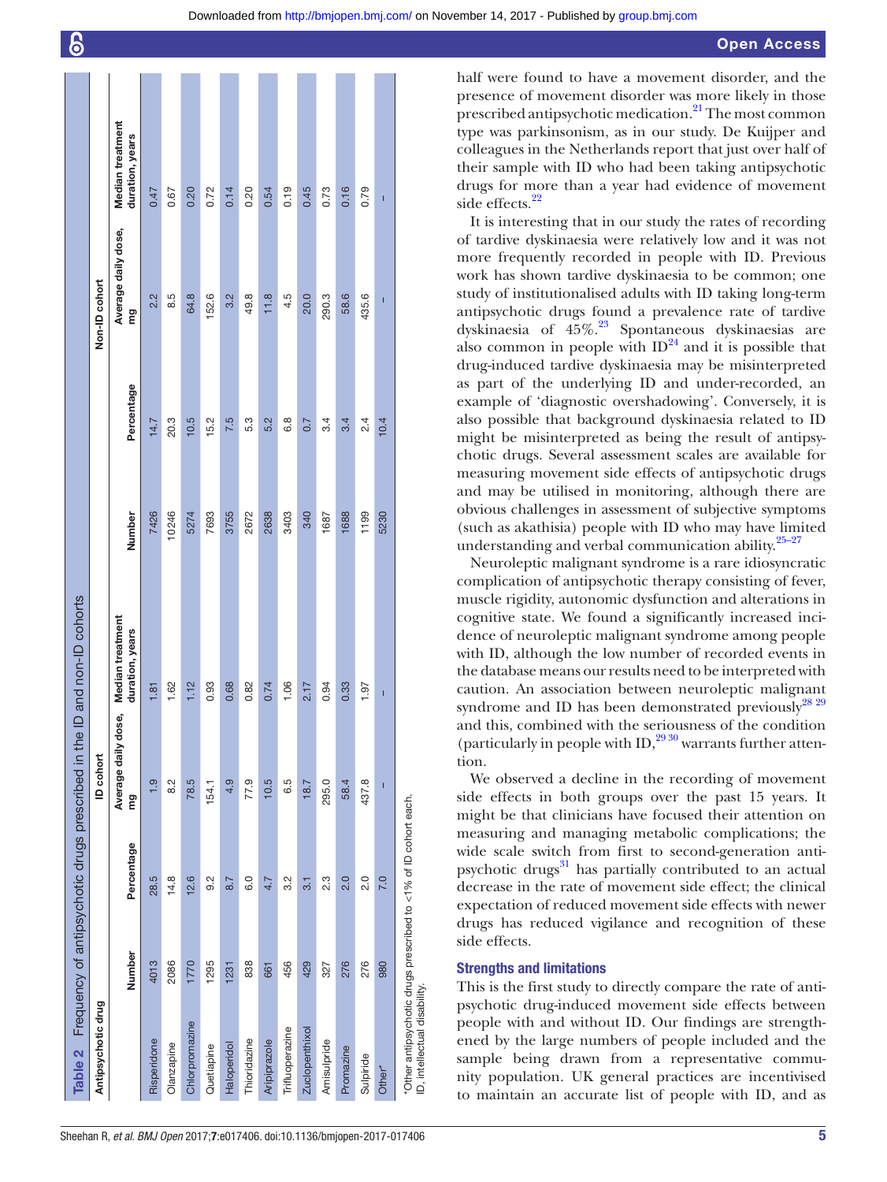|                                                                 |        |            | Table 2 Frequency of antipsychotic drugs prescribed in the | ID and non-ID cohorts               |        |            |                                |                                     |
|-----------------------------------------------------------------|--------|------------|------------------------------------------------------------|-------------------------------------|--------|------------|--------------------------------|-------------------------------------|
| Antipsychotic drug                                              |        |            | ID cohort                                                  |                                     |        |            | Non-ID cohort                  |                                     |
|                                                                 | Number | Percentage | Average daily dose,<br>ξü                                  | Median treatment<br>duration, years | Number | Percentage | Average daily dose,<br>mg<br>E | Median treatment<br>duration, years |
| Risperidone                                                     | 4013   | 28.5       | $\frac{0}{1}$                                              | 1.81                                | 7426   | 14.7       | 2.2                            | 0.47                                |
| Olanzapine                                                      | 2086   | 14.8       | $\frac{2}{8}$                                              | 1.62                                | 10246  | 20.3       | 8.5                            | 0.67                                |
| Chlorpromazine                                                  | 1770   | 12.6       | 78.5                                                       | 1.12                                | 5274   | 10.5       | 64.8                           | 0.20                                |
| Quetiapine                                                      | 1295   | 9.2        | 154.1                                                      | 0.93                                | 7693   | 15.2       | 152.6                          | 0.72                                |
| Haloperidol                                                     | 1231   | 8.7        | 4.9                                                        | 0.68                                | 3755   | 7.5        | 3.2                            | 0.14                                |
| Thioridazine                                                    | 838    | 0.0        | 77.9                                                       | 0.82                                | 2672   | 53         | 49.8                           | 0.20                                |
| Aripiprazole                                                    | 661    | 4.7        | 10.5                                                       | 0.74                                | 2638   | 5.2        | 11.8                           | 0.54                                |
| Trifluoperazine                                                 | 456    | 3.2        | 6.5                                                        | 1.06                                | 3403   | 6.8        | 4.5                            | 0.19                                |
| Zuclopenthixol                                                  | 429    | 3.1        | 18.7                                                       | 2.17                                | 340    | 0.7        | 20.0                           | 0.45                                |
| Amisulpride                                                     | 327    | 2.3        | 295.0                                                      | 0.94                                | 1687   | 3.4        | 290.3                          | 0.73                                |
| Promazine                                                       | 276    | 2.0        | 58.4                                                       | 0.33                                | 1688   | 3.4        | 58.6                           | 0.16                                |
| Sulpiride                                                       | 276    | 2.0        | 437.8                                                      | 1.97                                | 1199   | 2.4        | 435.6                          | 0.79                                |
| Other*                                                          | 980    | 7.0        | I                                                          | I                                   | 5230   | 10.4       | Ï                              | I                                   |
| *Other antipsychotic drugs prescribed to <1% of ID cohort each. |        |            |                                                            |                                     |        |            |                                |                                     |

half were found to have a movement disorder, and the presence of movement disorder was more likely in those prescribed antipsychotic medication.<sup>21</sup> The most common type was parkinsonism, as in our study. De Kuijper and colleagues in the Netherlands report that just over half of their sample with ID who had been taking antipsychotic drugs for more than a year had evidence of movement side effects.<sup>22</sup>

It is interesting that in our study the rates of recording of tardive dyskinaesia were relatively low and it was not more frequently recorded in people with ID. Previous work has shown tardive dyskinaesia to be common; one study of institutionalised adults with ID taking long-term antipsychotic drugs found a prevalence rate of tardive dyskinaesia of 45%.[23](#page-8-18) Spontaneous dyskinaesias are also common in people with  $ID^{24}$  and it is possible that drug-induced tardive dyskinaesia may be misinterpreted as part of the underlying ID and under-recorded, an example of 'diagnostic overshadowing'. Conversely, it is also possible that background dyskinaesia related to ID might be misinterpreted as being the result of antipsychotic drugs. Several assessment scales are available for measuring movement side effects of antipsychotic drugs and may be utilised in monitoring, although there are obvious challenges in assessment of subjective symptoms (such as akathisia) people with ID who may have limited understanding and verbal communication ability.<sup>25-27</sup>

Neuroleptic malignant syndrome is a rare idiosyncratic complication of antipsychotic therapy consisting of fever, muscle rigidity, autonomic dysfunction and alterations in cognitive state. We found a significantly increased incidence of neuroleptic malignant syndrome among people with ID, although the low number of recorded events in the database means our results need to be interpreted with caution. An association between neuroleptic malignant syndrome and ID has been demonstrated previously $^{28\ 29}$ and this, combined with the seriousness of the condition (particularly in people with ID, $^{29\,30}$  warrants further attention.

We observed a decline in the recording of movement side effects in both groups over the past 15 years. It might be that clinicians have focused their attention on measuring and managing metabolic complications; the wide scale switch from first to second-generation antipsychotic drugs $31$  has partially contributed to an actual decrease in the rate of movement side effect; the clinical expectation of reduced movement side effects with newer drugs has reduced vigilance and recognition of these side effects.

# Strengths and limitations

ID, intellectual disability.

<span id="page-4-0"></span>ID, intellectual disability.

This is the first study to directly compare the rate of antipsychotic drug-induced movement side effects between people with and without ID. Our findings are strengthened by the large numbers of people included and the sample being drawn from a representative community population. UK general practices are incentivised to maintain an accurate list of people with ID, and as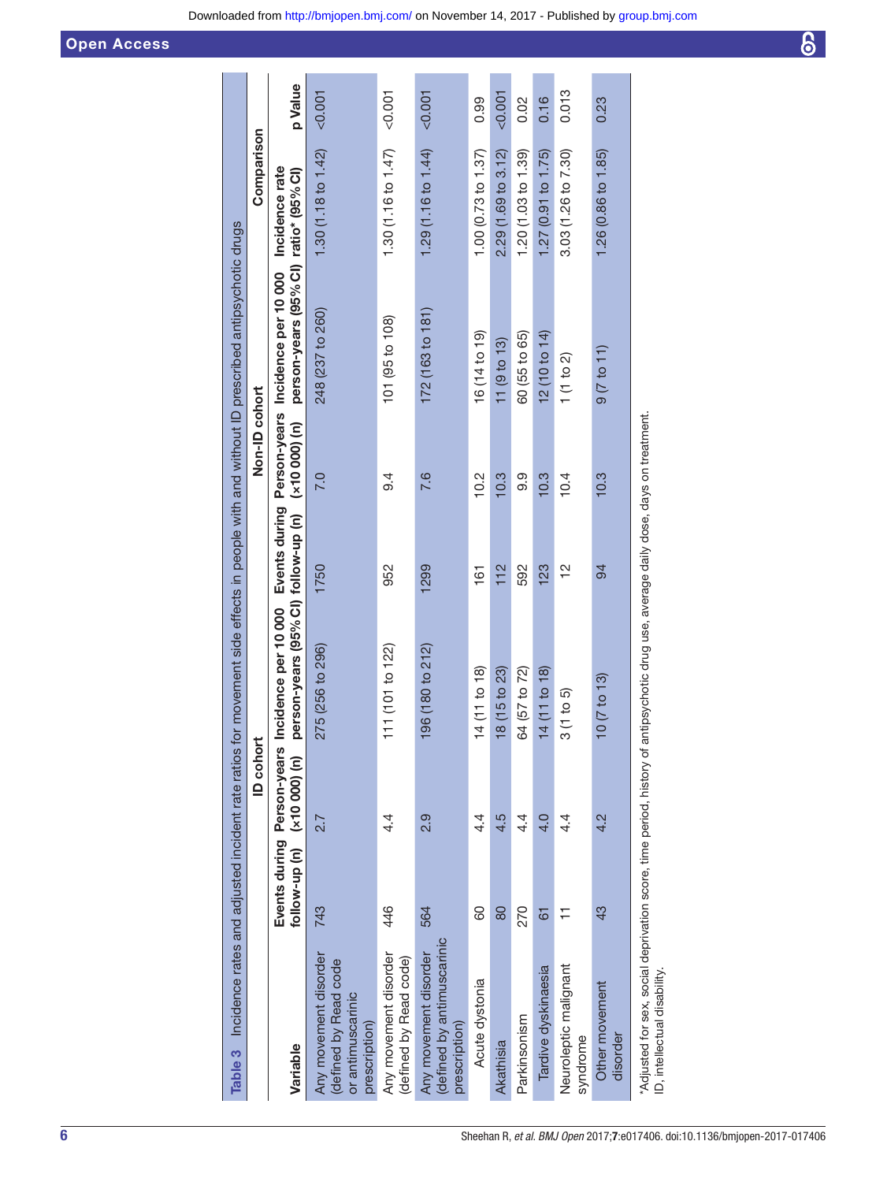<span id="page-5-0"></span>

| Table 3 Incidence rates and adjusted incident rate ratios for movement side effects in people with and without ID prescribed antipsychotic drugs                    |                                                            |                 |                                                             |               |                |                                                                            |                     |         |
|---------------------------------------------------------------------------------------------------------------------------------------------------------------------|------------------------------------------------------------|-----------------|-------------------------------------------------------------|---------------|----------------|----------------------------------------------------------------------------|---------------------|---------|
|                                                                                                                                                                     |                                                            | <b>ID</b> cohor |                                                             |               | Non-ID cohort  |                                                                            | Comparison          |         |
| Variable                                                                                                                                                            | Events during Person-years<br>follow-up (n) $(x10000)$ (n) |                 | person-years (95% CI) follow-up (n)<br>Incidence per 10 000 | Events during | $(x10000)$ (n) | person-years (95% CI) ratio* (95% CI)<br>Person-years Incidence per 10 000 | Incidence rate      | p Value |
| Any movement disorder<br>defined by Read code<br>or antimuscarinic<br>prescription)                                                                                 | 743                                                        | 2.7             | 275 (256 to 296)                                            | 1750          | 7.0            | 248 (237 to 260)                                                           | 1.30 (1.18 to 1.42) | < 0.001 |
| Any movement disorder<br>(defined by Read code)                                                                                                                     | 446                                                        | 4.              | 111 (101 to 122)                                            | 952           | ე.<br>თ        | 101 (95 to 108)                                                            | 1.30 (1.16 to 1.47) | &0.001  |
| (defined by antimuscarinic<br>Any movement disorder<br>prescription)                                                                                                | 564                                                        | <b>9.9</b>      | 196 (180 to 212)                                            | 1299          | 7.6            | 172 (163 to 181)                                                           | 1.29 (1.16 to 1.44) | < 0.001 |
| Acute dystonia                                                                                                                                                      | 80                                                         | 4.              | 14 (11 to 18)                                               | 161           | 10.2           | 16(14t)                                                                    | 1.00(0.73 to 1.37)  | 0.99    |
| Akathisia                                                                                                                                                           | 80                                                         | 4.5             | 18 (15 to 23)                                               | 112           | 10.3           | 11(9 to 13)                                                                | 2.29(1.69 to 3.12)  | 0.007   |
| Parkinsonism                                                                                                                                                        | 270                                                        | 4.              | 64 (57 to 72)                                               | 592           | 9.9            | 60 (55 to 65)                                                              | 1.20 (1.03 to 1.39) | 0.02    |
| Tardive dyskinaesia                                                                                                                                                 | 61                                                         | $\frac{4}{10}$  | 14 (11 to 18)                                               | 123           | 10.3           | 12 (10 to 14)                                                              | 1.27 (0.91 to 1.75) | 0.16    |
| Neuroleptic malignant<br>syndrome                                                                                                                                   |                                                            | $4\cdot$        | 3(1 to 5)                                                   | $\frac{2}{1}$ | 10.4           | 1(1 to 2)                                                                  | 3.03 (1.26 to 7.30) | 0.013   |
| Other movement<br>disorder                                                                                                                                          | 43                                                         | 4.2             | $10(7 \text{ to } 13)$                                      | 94            | 10.3           | 9(7 to 11)                                                                 | 1.26 (0.86 to 1.85) | 0.23    |
| "Adjusted for sex, social deprivation score, time period, history of antipsychotic drug use, average daily dose, days on treatment.<br>ID, intellectual disability. |                                                            |                 |                                                             |               |                |                                                                            |                     |         |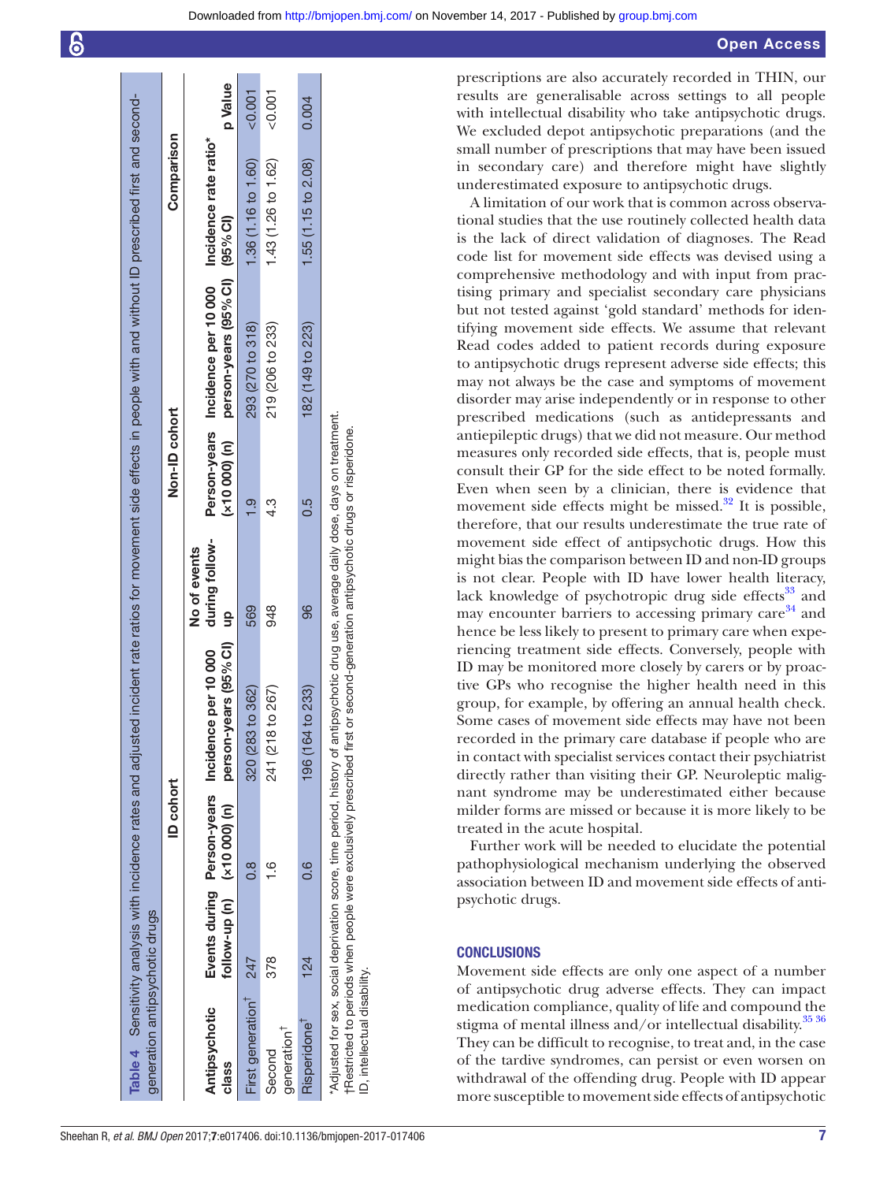| Downloaded from http://bmjopen.bmj.com/ on November 14, 2017 - Published by group.bmj.com |  |
|-------------------------------------------------------------------------------------------|--|
|                                                                                           |  |

| generation antipsychotic drugs                                                                                                                                        |     |                             | Table 4 Sensitivity analysis with incidence rates and adjusted incident rate ratios for movement side effects in people with and without ID prescribed first and second- |                                |               |                                                                                                         |                     |          |
|-----------------------------------------------------------------------------------------------------------------------------------------------------------------------|-----|-----------------------------|--------------------------------------------------------------------------------------------------------------------------------------------------------------------------|--------------------------------|---------------|---------------------------------------------------------------------------------------------------------|---------------------|----------|
|                                                                                                                                                                       |     | <b>ID</b> cohort            |                                                                                                                                                                          |                                | Non-ID cohort |                                                                                                         | Comparison          |          |
| Antipsychotic<br>class                                                                                                                                                |     | follow-up (n) (x10 000) (n) | person-years (95% CI) up<br>Events during Person-years Incidence per 10 000                                                                                              | during follow-<br>No of events |               | Person-years Incidence per 10 000 Incidence rate ratio*<br>(x10 000) (n) person-years (95% CI) (95% CI) |                     | p Value  |
| First generation 247                                                                                                                                                  |     | 8<br>C.R                    | 320 (283 to 362)                                                                                                                                                         | 569                            |               | 293 (270 to 318)                                                                                        | 1.36 (1.16 to 1.60) | < 0.001  |
| generation <sup>1</sup><br>Second                                                                                                                                     | 378 | $\frac{6}{1}$               | 241 (218 to 267)                                                                                                                                                         | 948                            | 4.3           | 219 (206 to 233)                                                                                        | 1.43 (1.26 to 1.62) | $-0.001$ |
| Risperidone <sup>1</sup>                                                                                                                                              | 124 | 0.6                         | 164 to 233)<br>196                                                                                                                                                       | 96                             | 6.5           | 182 (149 to 223)                                                                                        | 1.55 (1.15 to 2.08) | 0.004    |
| Adjusted for sex, social deprivation score, time period, history of<br>†Restricted to periods when people were exclusively prescribed<br>ID, intellectual disability. |     |                             | f antipsychotic drug use, average daily dose, days on treatment.<br>first or second-generation antipsychotic drugs or risperidone.                                       |                                |               |                                                                                                         |                     |          |

**Contract** 

**Contract** 

prescriptions are also accurately recorded in THIN, our results are generalisable across settings to all people with intellectual disability who take antipsychotic drugs. We excluded depot antipsychotic preparations (and the small number of prescriptions that may have been issued in secondary care) and therefore might have slightly underestimated exposure to antipsychotic drugs.

A limitation of our work that is common across observational studies that the use routinely collected health data is the lack of direct validation of diagnoses. The Read code list for movement side effects was devised using a comprehensive methodology and with input from practising primary and specialist secondary care physicians but not tested against 'gold standard' methods for identifying movement side effects. We assume that relevant Read codes added to patient records during exposure to antipsychotic drugs represent adverse side effects; this may not always be the case and symptoms of movement disorder may arise independently or in response to other prescribed medications (such as antidepressants and antiepileptic drugs) that we did not measure. Our method measures only recorded side effects, that is, people must consult their GP for the side effect to be noted formally. Even when seen by a clinician, there is evidence that movement side effects might be missed. $32$  It is possible, therefore, that our results underestimate the true rate of movement side effect of antipsychotic drugs. How this might bias the comparison between ID and non-ID groups is not clear. People with ID have lower health literacy, lack knowledge of psychotropic drug side effects $33$  and may encounter barriers to accessing primary care  $34$  and hence be less likely to present to primary care when experiencing treatment side effects. Conversely, people with ID may be monitored more closely by carers or by proactive GPs who recognise the higher health need in this group, for example, by offering an annual health check. Some cases of movement side effects may have not been recorded in the primary care database if people who are in contact with specialist services contact their psychiatrist directly rather than visiting their GP. Neuroleptic malignant syndrome may be underestimated either because milder forms are missed or because it is more likely to be treated in the acute hospital.

Further work will be needed to elucidate the potential pathophysiological mechanism underlying the observed association between ID and movement side effects of antipsychotic drugs.

# **CONCLUSIONS**

<span id="page-6-0"></span>Movement side effects are only one aspect of a number of antipsychotic drug adverse effects. They can impact medication compliance, quality of life and compound the stigma of mental illness and/or intellectual disability.<sup>35 36</sup> They can be difficult to recognise, to treat and, in the case of the tardive syndromes, can persist or even worsen on withdrawal of the offending drug. People with ID appear more susceptible to movement side effects of antipsychotic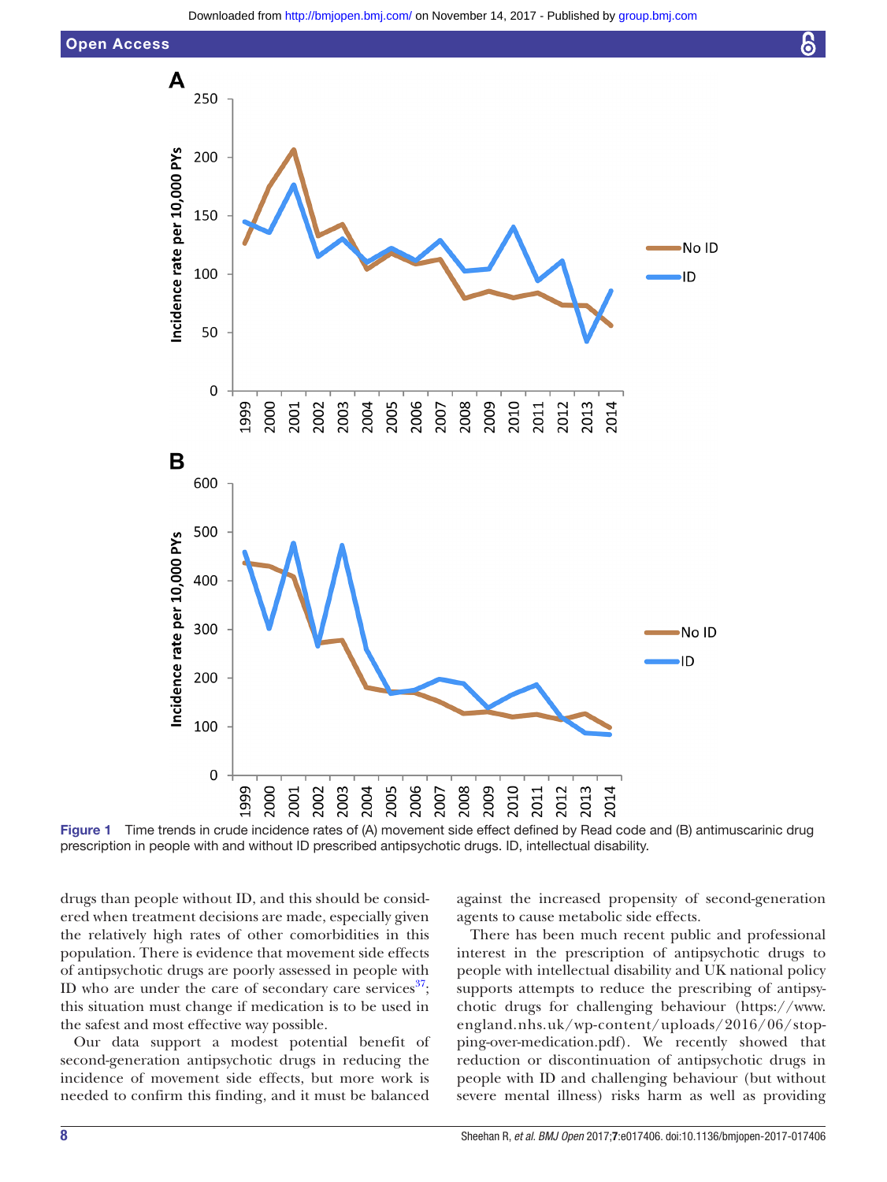



Figure 1 Time trends in crude incidence rates of (A) movement side effect defined by Read code and (B) antimuscarinic drug prescription in people with and without ID prescribed antipsychotic drugs. ID, intellectual disability.

drugs than people without ID, and this should be considered when treatment decisions are made, especially given the relatively high rates of other comorbidities in this population. There is evidence that movement side effects of antipsychotic drugs are poorly assessed in people with ID who are under the care of secondary care services $^{37}$  $^{37}$  $^{37}$ ; this situation must change if medication is to be used in the safest and most effective way possible.

Our data support a modest potential benefit of second-generation antipsychotic drugs in reducing the incidence of movement side effects, but more work is needed to confirm this finding, and it must be balanced

<span id="page-7-0"></span>against the increased propensity of second-generation agents to cause metabolic side effects.

၆

There has been much recent public and professional interest in the prescription of antipsychotic drugs to people with intellectual disability and UK national policy supports attempts to reduce the prescribing of antipsychotic drugs for challenging behaviour ([https://www.](https://www.england.nhs.uk/wp-content/uploads/2016/06/stopping-over-medication.pdf) [england.nhs.uk/wp-content/uploads/2016/06/stop](https://www.england.nhs.uk/wp-content/uploads/2016/06/stopping-over-medication.pdf)[ping-over-medication.pdf\)](https://www.england.nhs.uk/wp-content/uploads/2016/06/stopping-over-medication.pdf). We recently showed that reduction or discontinuation of antipsychotic drugs in people with ID and challenging behaviour (but without severe mental illness) risks harm as well as providing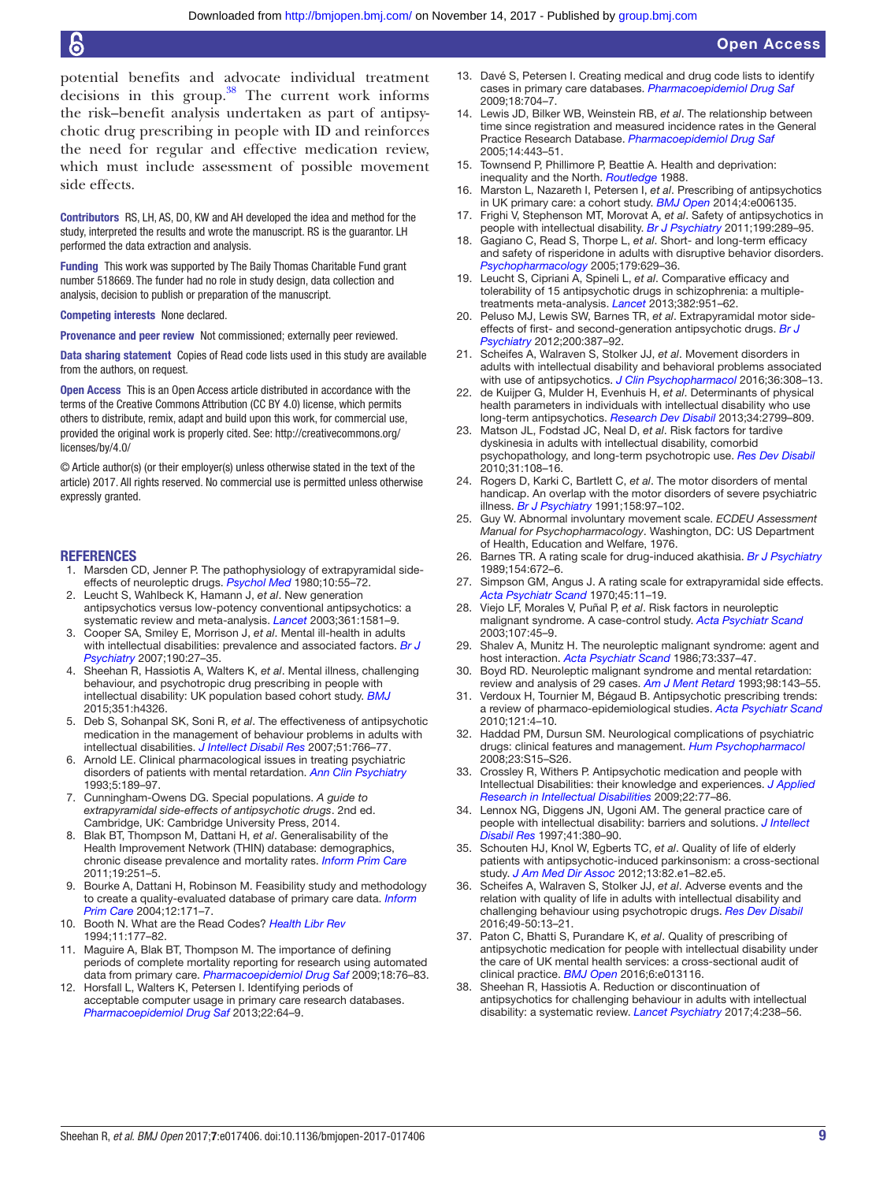potential benefits and advocate individual treatment decisions in this group. $38$  The current work informs the risk–benefit analysis undertaken as part of antipsychotic drug prescribing in people with ID and reinforces the need for regular and effective medication review, which must include assessment of possible movement side effects.

Contributors RS, LH, AS, DO, KW and AH developed the idea and method for the study, interpreted the results and wrote the manuscript. RS is the guarantor. LH performed the data extraction and analysis.

Funding This work was supported by The Baily Thomas Charitable Fund grant number 518669. The funder had no role in study design, data collection and analysis, decision to publish or preparation of the manuscript.

Competing interests None declared.

Provenance and peer review Not commissioned; externally peer reviewed.

Data sharing statement Copies of Read code lists used in this study are available from the authors, on request.

Open Access This is an Open Access article distributed in accordance with the terms of the Creative Commons Attribution (CC BY 4.0) license, which permits others to distribute, remix, adapt and build upon this work, for commercial use, provided the original work is properly cited. See: [http://creativecommons.org/](http://creativecommons.org/licenses/by/4.0/) [licenses/by/4.0/](http://creativecommons.org/licenses/by/4.0/)

© Article author(s) (or their employer(s) unless otherwise stated in the text of the article) 2017. All rights reserved. No commercial use is permitted unless otherwise expressly granted.

#### **REFERENCES**

- <span id="page-8-0"></span>1. Marsden CD, Jenner P. The pathophysiology of extrapyramidal sideeffects of neuroleptic drugs. *[Psychol Med](http://dx.doi.org/10.1017/S003329170003960X)* 1980;10:55–72.
- <span id="page-8-1"></span>2. Leucht S, Wahlbeck K, Hamann J, *et al*. New generation antipsychotics versus low-potency conventional antipsychotics: a systematic review and meta-analysis. *[Lancet](http://dx.doi.org/10.1016/S0140-6736(03)13306-5)* 2003;361:1581–9.
- <span id="page-8-2"></span>3. Cooper SA, Smiley E, Morrison J, *et al*. Mental ill-health in adults with intellectual disabilities: prevalence and associated factors. *[Br J](http://dx.doi.org/10.1192/bjp.bp.106.022483)  [Psychiatry](http://dx.doi.org/10.1192/bjp.bp.106.022483)* 2007;190:27–35.
- <span id="page-8-3"></span>4. Sheehan R, Hassiotis A, Walters K, *et al*. Mental illness, challenging behaviour, and psychotropic drug prescribing in people with intellectual disability: UK population based cohort study. *[BMJ](http://dx.doi.org/10.1136/bmj.h4326)* 2015;351:h4326.
- <span id="page-8-4"></span>5. Deb S, Sohanpal SK, Soni R, *et al*. The effectiveness of antipsychotic medication in the management of behaviour problems in adults with intellectual disabilities. *[J Intellect Disabil Res](http://dx.doi.org/10.1111/j.1365-2788.2007.00950.x)* 2007;51:766–77.
- <span id="page-8-5"></span>6. Arnold LE. Clinical pharmacological issues in treating psychiatric disorders of patients with mental retardation. *[Ann Clin Psychiatry](http://dx.doi.org/10.3109/10401239309148982)* 1993;5:189–97.
- <span id="page-8-6"></span>7. Cunningham-Owens DG. Special populations. *A guide to extrapyramidal side-effects of antipsychotic drugs*. 2nd ed. Cambridge, UK: Cambridge University Press, 2014.
- <span id="page-8-7"></span>8. Blak BT, Thompson M, Dattani H, *et al*. Generalisability of the Health Improvement Network (THIN) database: demographics, chronic disease prevalence and mortality rates. *[Inform Prim Care](http://dx.doi.org/10.14236/jhi.v19i4.820)* 2011;19:251–5.
- 9. Bourke A, Dattani H, Robinson M. Feasibility study and methodology to create a quality-evaluated database of primary care data. *[Inform](http://dx.doi.org/10.14236/jhi.v12i3.124)  [Prim Care](http://dx.doi.org/10.14236/jhi.v12i3.124)* 2004;12:171–7.
- <span id="page-8-8"></span>10. Booth N. What are the Read Codes? *Health Libr Rev* 1994;11:177–82.
- <span id="page-8-9"></span>11. Maguire A, Blak BT, Thompson M. The importance of defining periods of complete mortality reporting for research using automated data from primary care. *[Pharmacoepidemiol Drug Saf](http://dx.doi.org/10.1002/pds.1688)* 2009;18:76–83.
- 12. Horsfall L, Walters K, Petersen I. Identifying periods of acceptable computer usage in primary care research databases. *[Pharmacoepidemiol Drug Saf](http://dx.doi.org/10.1002/pds.3368)* 2013;22:64–9.
- <span id="page-8-10"></span>13. Davé S, Petersen I. Creating medical and drug code lists to identify cases in primary care databases. *[Pharmacoepidemiol Drug Saf](http://dx.doi.org/10.1002/pds.1770)* 2009;18:704–7.
- <span id="page-8-11"></span>14. Lewis JD, Bilker WB, Weinstein RB, *et al*. The relationship between time since registration and measured incidence rates in the General Practice Research Database. *[Pharmacoepidemiol Drug Saf](http://dx.doi.org/10.1002/pds.1115)* 2005;14:443–51.
- <span id="page-8-12"></span>Townsend P, Phillimore P, Beattie A. Health and deprivation: inequality and the North. *Routledge* 1988.
- <span id="page-8-13"></span>16. Marston L, Nazareth I, Petersen I, *et al*. Prescribing of antipsychotics in UK primary care: a cohort study. *[BMJ Open](http://dx.doi.org/10.1136/bmjopen-2014-006135)* 2014;4:e006135.
- <span id="page-8-14"></span>17. Frighi V, Stephenson MT, Morovat A, *et al*. Safety of antipsychotics in people with intellectual disability. *[Br J Psychiatry](http://dx.doi.org/10.1192/bjp.bp.110.085670)* 2011;199:289–95.
- 18. Gagiano C, Read S, Thorpe L, *et al*. Short- and long-term efficacy and safety of risperidone in adults with disruptive behavior disorders. *[Psychopharmacology](http://dx.doi.org/10.1007/s00213-004-2093-2)* 2005;179:629–36.
- <span id="page-8-15"></span>19. Leucht S, Cipriani A, Spineli L, *et al*. Comparative efficacy and tolerability of 15 antipsychotic drugs in schizophrenia: a multipletreatments meta-analysis. *[Lancet](http://dx.doi.org/10.1016/S0140-6736(13)60733-3)* 2013;382:951–62.
- 20. Peluso MJ, Lewis SW, Barnes TR, *et al*. Extrapyramidal motor sideeffects of first- and second-generation antipsychotic drugs. *[Br J](http://dx.doi.org/10.1192/bjp.bp.111.101485)  [Psychiatry](http://dx.doi.org/10.1192/bjp.bp.111.101485)* 2012;200:387–92.
- <span id="page-8-16"></span>21. Scheifes A, Walraven S, Stolker JJ, *et al*. Movement disorders in adults with intellectual disability and behavioral problems associated with use of antipsychotics. *[J Clin Psychopharmacol](http://dx.doi.org/10.1097/JCP.0000000000000528)* 2016;36:308–13.
- <span id="page-8-17"></span>22. de Kuijper G, Mulder H, Evenhuis H, *et al*. Determinants of physical health parameters in individuals with intellectual disability who use long-term antipsychotics. *[Research Dev Disabil](http://dx.doi.org/10.1016/j.ridd.2013.05.016)* 2013;34:2799–809.
- <span id="page-8-18"></span>23. Matson JL, Fodstad JC, Neal D, *et al*. Risk factors for tardive dyskinesia in adults with intellectual disability, comorbid psychopathology, and long-term psychotropic use. *[Res Dev Disabil](http://dx.doi.org/10.1016/j.ridd.2009.08.002)* 2010;31:108–16.
- <span id="page-8-19"></span>24. Rogers D, Karki C, Bartlett C, *et al*. The motor disorders of mental handicap. An overlap with the motor disorders of severe psychiatric illness. *[Br J Psychiatry](http://dx.doi.org/10.1192/bjp.158.1.97)* 1991;158:97–102.
- <span id="page-8-20"></span>25. Guy W. Abnormal involuntary movement scale. *ECDEU Assessment Manual for Psychopharmacology*. Washington, DC: US Department of Health, Education and Welfare, 1976.
- 26. Barnes TR. A rating scale for drug-induced akathisia. *[Br J Psychiatry](http://dx.doi.org/10.1192/bjp.154.5.672)* 1989;154:672–6.
- 27. Simpson GM, Angus J. A rating scale for extrapyramidal side effects. *[Acta Psychiatr Scand](http://dx.doi.org/10.1111/j.1600-0447.1970.tb02066.x)* 1970;45:11–19.
- <span id="page-8-21"></span>28. Viejo LF, Morales V, Puñal P, *et al*. Risk factors in neuroleptic malignant syndrome. A case-control study. *[Acta Psychiatr Scand](http://dx.doi.org/10.1034/j.1600-0447.2003.02385.x)* 2003;107:45–9.
- <span id="page-8-22"></span>29. Shalev A, Munitz H. The neuroleptic malignant syndrome: agent and host interaction. *[Acta Psychiatr Scand](http://dx.doi.org/10.1111/j.1600-0447.1986.tb02694.x)* 1986;73:337–47.
- 30. Boyd RD. Neuroleptic malignant syndrome and mental retardation: review and analysis of 29 cases. *Am J Ment Retard* 1993;98:143–55.
- <span id="page-8-23"></span>31. Verdoux H, Tournier M, Bégaud B. Antipsychotic prescribing trends: a review of pharmaco-epidemiological studies. *[Acta Psychiatr Scand](http://dx.doi.org/10.1111/j.1600-0447.2009.01425.x)* 2010;121:4–10.
- <span id="page-8-24"></span>32. Haddad PM, Dursun SM. Neurological complications of psychiatric drugs: clinical features and management. *[Hum Psychopharmacol](http://dx.doi.org/10.1002/hup.918)* 2008;23:S15–S26.
- <span id="page-8-25"></span>33. Crossley R, Withers P. Antipsychotic medication and people with Intellectual Disabilities: their knowledge and experiences. *[J Applied](http://dx.doi.org/10.1111/j.1468-3148.2008.00454.x)  [Research in Intellectual Disabilities](http://dx.doi.org/10.1111/j.1468-3148.2008.00454.x)* 2009;22:77–86.
- <span id="page-8-26"></span>34. Lennox NG, Diggens JN, Ugoni AM. The general practice care of people with intellectual disability: barriers and solutions. *[J Intellect](http://dx.doi.org/10.1111/j.1365-2788.1997.tb00725.x)  [Disabil Res](http://dx.doi.org/10.1111/j.1365-2788.1997.tb00725.x)* 1997;41:380–90.
- <span id="page-8-27"></span>35. Schouten HJ, Knol W, Egberts TC, *et al*. Quality of life of elderly patients with antipsychotic-induced parkinsonism: a cross-sectional study. *[J Am Med Dir Assoc](http://dx.doi.org/10.1016/j.jamda.2010.12.003)* 2012;13:82.e1–82.e5.
- 36. Scheifes A, Walraven S, Stolker JJ, *et al*. Adverse events and the relation with quality of life in adults with intellectual disability and challenging behaviour using psychotropic drugs. *[Res Dev Disabil](http://dx.doi.org/10.1016/j.ridd.2015.11.017)* 2016;49-50:13–21.
- <span id="page-8-28"></span>37. Paton C, Bhatti S, Purandare K, *et al*. Quality of prescribing of antipsychotic medication for people with intellectual disability under the care of UK mental health services: a cross-sectional audit of clinical practice. *[BMJ Open](http://dx.doi.org/10.1136/bmjopen-2016-013116)* 2016;6:e013116.
- <span id="page-8-29"></span>38. Sheehan R, Hassiotis A. Reduction or discontinuation of antipsychotics for challenging behaviour in adults with intellectual disability: a systematic review. *[Lancet Psychiatry](http://dx.doi.org/10.1016/S2215-0366(16)30191-2)* 2017;4:238–56.